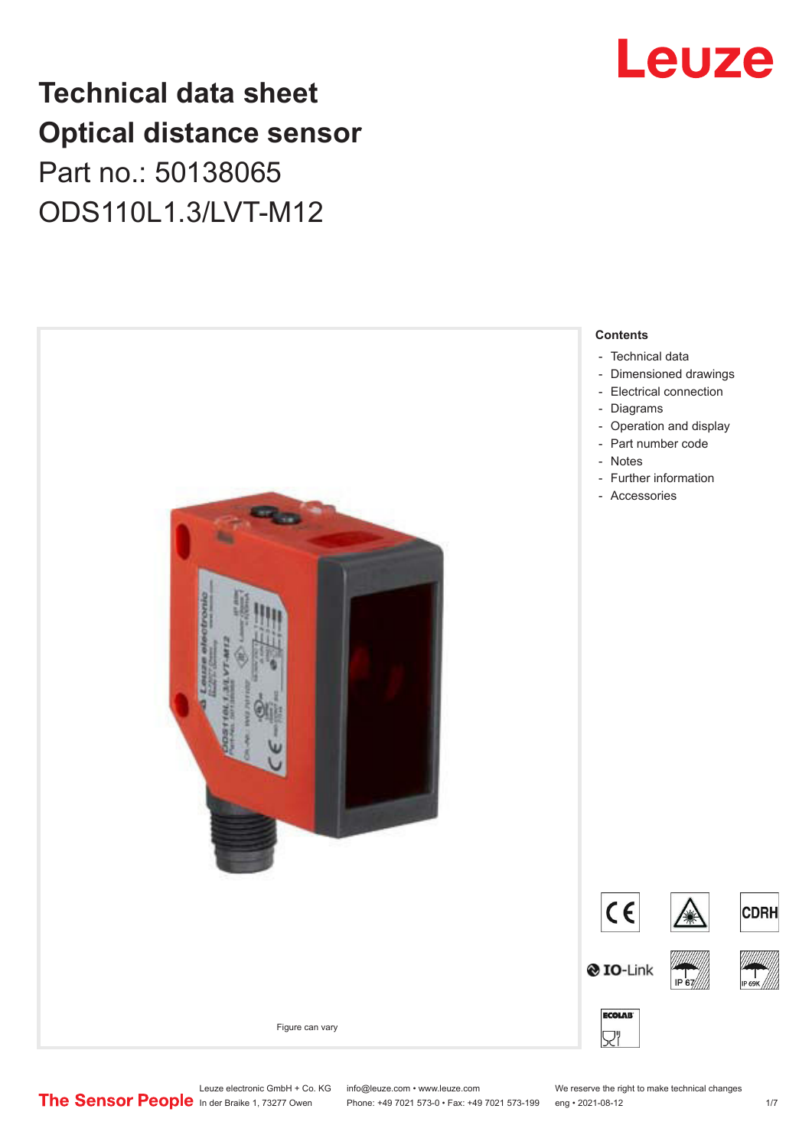# **Technical data sheet Optical distance sensor** Part no.: 50138065 ODS110L1.3/LVT-M12





Leuze electronic GmbH + Co. KG info@leuze.com • www.leuze.com We reserve the right to make technical changes<br>
The Sensor People in der Braike 1, 73277 Owen Phone: +49 7021 573-0 • Fax: +49 7021 573-199 eng • 2021-08-12

Phone: +49 7021 573-0 • Fax: +49 7021 573-199 eng • 2021-08-12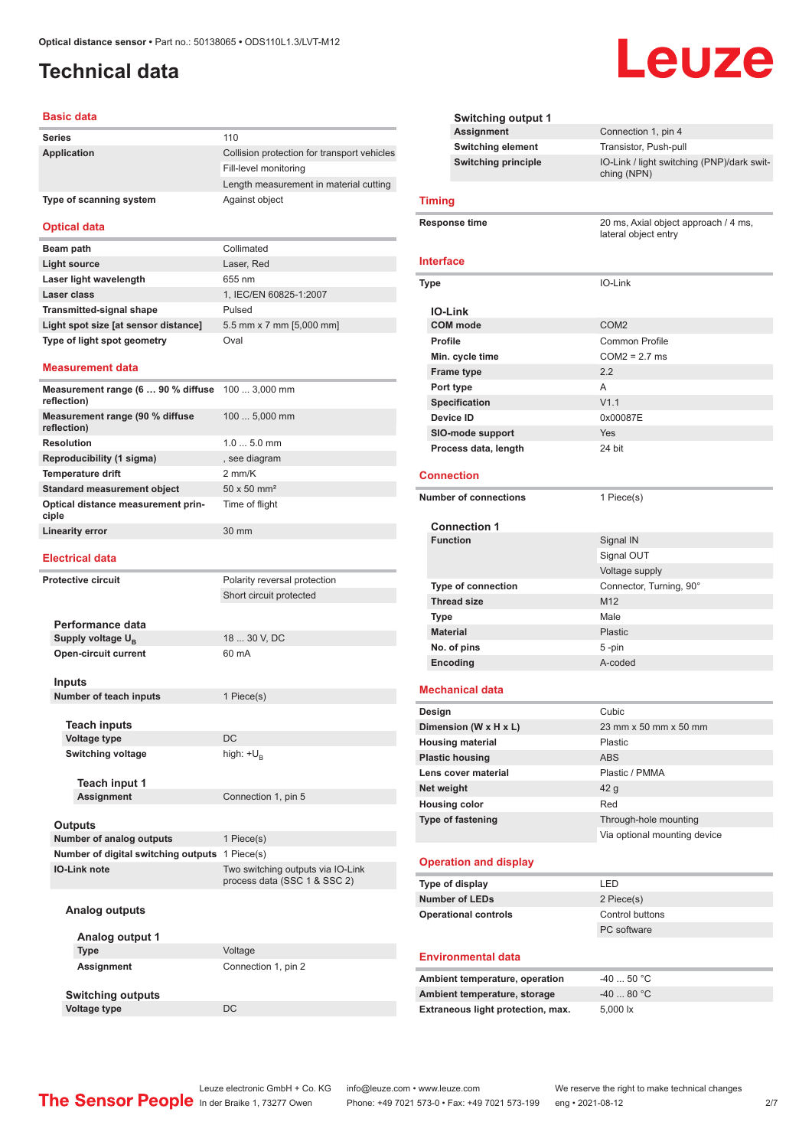# <span id="page-1-0"></span>**Technical data**

#### **Basic data**

| <b>Series</b>           | 110                                         |
|-------------------------|---------------------------------------------|
| Application             | Collision protection for transport vehicles |
|                         | Fill-level monitoring                       |
|                         | Length measurement in material cutting      |
| Type of scanning system | Against object                              |

#### **Optical data**

| Beam path                            | Collimated               |
|--------------------------------------|--------------------------|
| Light source                         | Laser, Red               |
| Laser light wavelength               | 655 nm                   |
| Laser class                          | 1, IEC/EN 60825-1:2007   |
| <b>Transmitted-signal shape</b>      | Pulsed                   |
| Light spot size [at sensor distance] | 5.5 mm x 7 mm [5,000 mm] |
| Type of light spot geometry          | Oval                     |

#### **Measurement data**

| <b>Measurement range (6  90 % diffuse</b> 100  3,000 mm<br>reflection) |                                |
|------------------------------------------------------------------------|--------------------------------|
| Measurement range (90 % diffuse<br>reflection)                         | $1005,000$ mm                  |
| <b>Resolution</b>                                                      | $1.05.0$ mm                    |
| Reproducibility (1 sigma)                                              | , see diagram                  |
| <b>Temperature drift</b>                                               | $2$ mm/ $K$                    |
| <b>Standard measurement object</b>                                     | $50 \times 50$ mm <sup>2</sup> |
| Optical distance measurement prin-<br>ciple                            | Time of flight                 |
| Linearity error                                                        | $30 \text{ mm}$                |

#### **Electrical data**

| <b>Protective circuit</b> |                                                | Polarity reversal protection                                      |
|---------------------------|------------------------------------------------|-------------------------------------------------------------------|
|                           |                                                | Short circuit protected                                           |
|                           |                                                |                                                                   |
|                           | Performance data                               |                                                                   |
|                           | Supply voltage U <sub>B</sub>                  | 18  30 V, DC                                                      |
|                           | <b>Open-circuit current</b>                    | 60 mA                                                             |
|                           | <b>Inputs</b>                                  |                                                                   |
|                           | Number of teach inputs                         | 1 Piece(s)                                                        |
|                           |                                                |                                                                   |
|                           | <b>Teach inputs</b>                            |                                                                   |
|                           | <b>Voltage type</b>                            | <b>DC</b>                                                         |
|                           | <b>Switching voltage</b>                       | high: $+U_p$                                                      |
|                           |                                                |                                                                   |
|                           | Teach input 1                                  |                                                                   |
|                           | <b>Assignment</b>                              | Connection 1, pin 5                                               |
|                           |                                                |                                                                   |
|                           | <b>Outputs</b>                                 |                                                                   |
|                           | Number of analog outputs                       | 1 Piece(s)                                                        |
|                           | Number of digital switching outputs 1 Piece(s) |                                                                   |
|                           | <b>IO-Link note</b>                            | Two switching outputs via IO-Link<br>process data (SSC 1 & SSC 2) |
|                           | Analog outputs                                 |                                                                   |
|                           |                                                |                                                                   |
|                           | Analog output 1                                |                                                                   |
|                           | <b>Type</b>                                    | Voltage                                                           |

|      | <b>Switching output 1</b>         |                                                              |
|------|-----------------------------------|--------------------------------------------------------------|
|      | <b>Assignment</b>                 | Connection 1, pin 4                                          |
|      | <b>Switching element</b>          | Transistor, Push-pull                                        |
|      | <b>Switching principle</b>        | IO-Link / light switching (PNP)/dark swit-<br>ching (NPN)    |
|      | <b>Timing</b>                     |                                                              |
|      | Response time                     | 20 ms, Axial object approach / 4 ms,<br>lateral object entry |
|      | Interface                         |                                                              |
| Type |                                   | IO-Link                                                      |
|      |                                   |                                                              |
|      | <b>IO-Link</b><br><b>COM</b> mode | COM <sub>2</sub>                                             |
|      | <b>Profile</b>                    | Common Profile                                               |
|      | Min. cycle time                   | $COM2 = 2.7$ ms                                              |
|      | <b>Frame type</b>                 | 2.2                                                          |
|      | Port type                         | A                                                            |
|      | <b>Specification</b>              | V1.1                                                         |
|      | Device ID                         | 0x00087E                                                     |
|      | SIO-mode support                  | Yes                                                          |
|      | Process data, length              | 24 bit                                                       |
|      |                                   |                                                              |
|      | <b>Connection</b>                 |                                                              |
|      | <b>Number of connections</b>      | 1 Piece(s)                                                   |
|      | <b>Connection 1</b>               |                                                              |
|      | <b>Function</b>                   | Signal IN                                                    |
|      |                                   | Signal OUT                                                   |
|      |                                   | Voltage supply                                               |
|      | <b>Type of connection</b>         | Connector, Turning, 90°                                      |
|      | <b>Thread size</b>                | M <sub>12</sub>                                              |
|      | <b>Type</b>                       | Male                                                         |
|      | <b>Material</b>                   | <b>Plastic</b>                                               |
|      | No. of pins                       | 5-pin                                                        |
|      | Encoding                          | A-coded                                                      |
|      | <b>Mechanical data</b>            |                                                              |
|      | Design                            | Cubic                                                        |
|      | Dimension (W x H x L)             | 23 mm x 50 mm x 50 mm                                        |
|      | <b>Housing material</b>           | Plastic                                                      |
|      | <b>Plastic housing</b>            | <b>ABS</b>                                                   |
|      | Lens cover material               | Plastic / PMMA                                               |
|      | Net weight                        | 42 <sub>g</sub>                                              |
|      | <b>Housing color</b>              | Red                                                          |
|      | Type of fastening                 | Through-hole mounting                                        |
|      |                                   | Via optional mounting device                                 |
|      | <b>Operation and display</b>      |                                                              |
|      | Type of display                   | LED                                                          |
|      | <b>Number of LEDs</b>             | 2 Piece(s)                                                   |
|      | <b>Operational controls</b>       | Control buttons                                              |
|      |                                   | PC software                                                  |
|      |                                   |                                                              |
|      | <b>Environmental data</b>         |                                                              |
|      | Ambient temperature, operation    | $-4050 °C$                                                   |

Leuze

| Ambient temperature, operation    | -40  50 °C         |
|-----------------------------------|--------------------|
| Ambient temperature, storage      | $-4080 °C$         |
| Extraneous light protection, max. | $5.000 \text{ lx}$ |

Assignment Connection 1, pin 2

**Switching outputs**

**Voltage type** DC

Leuze electronic GmbH + Co. KG info@leuze.com • www.leuze.com We reserve the right to make technical changes<br>
The Sensor People in der Braike 1, 73277 Owen Phone: +49 7021 573-0 • Fax: +49 7021 573-199 eng • 2021-08-12 Phone: +49 7021 573-0 • Fax: +49 7021 573-199 eng • 2021-08-12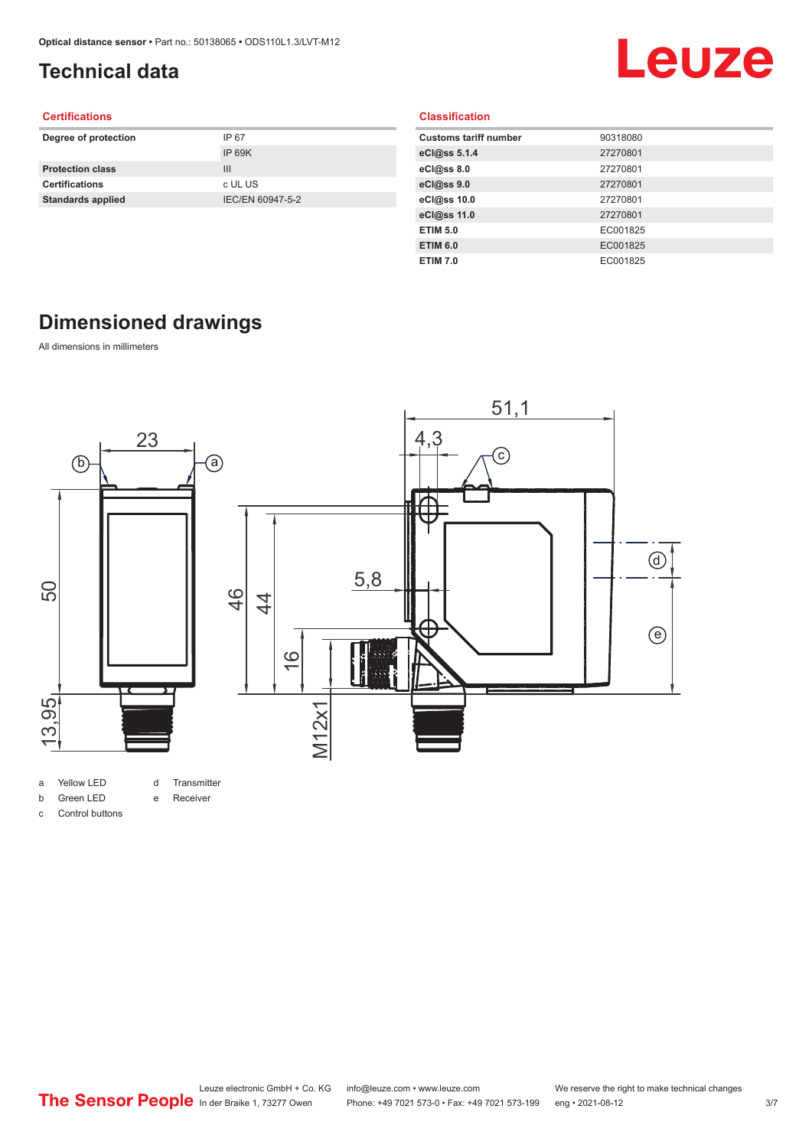# <span id="page-2-0"></span>**Technical data**

# Leuze

#### **Certifications**

| Degree of protection     | IP 67            |
|--------------------------|------------------|
|                          | IP 69K           |
| <b>Protection class</b>  | Ш                |
| <b>Certifications</b>    | c UL US          |
| <b>Standards applied</b> | IEC/EN 60947-5-2 |
|                          |                  |

|  | <b>Classification</b> |  |
|--|-----------------------|--|
|  |                       |  |

| <b>Customs tariff number</b> | 90318080 |
|------------------------------|----------|
| eCl@ss 5.1.4                 | 27270801 |
| eCl@ss 8.0                   | 27270801 |
| eCl@ss 9.0                   | 27270801 |
| eCl@ss 10.0                  | 27270801 |
| eCl@ss 11.0                  | 27270801 |
| <b>ETIM 5.0</b>              | EC001825 |
| <b>ETIM 6.0</b>              | EC001825 |
| <b>ETIM 7.0</b>              | EC001825 |

# **Dimensioned drawings**

All dimensions in millimeters



- a Yellow LED d Transmitter
- b Green LED
- e Receiver
- c Control buttons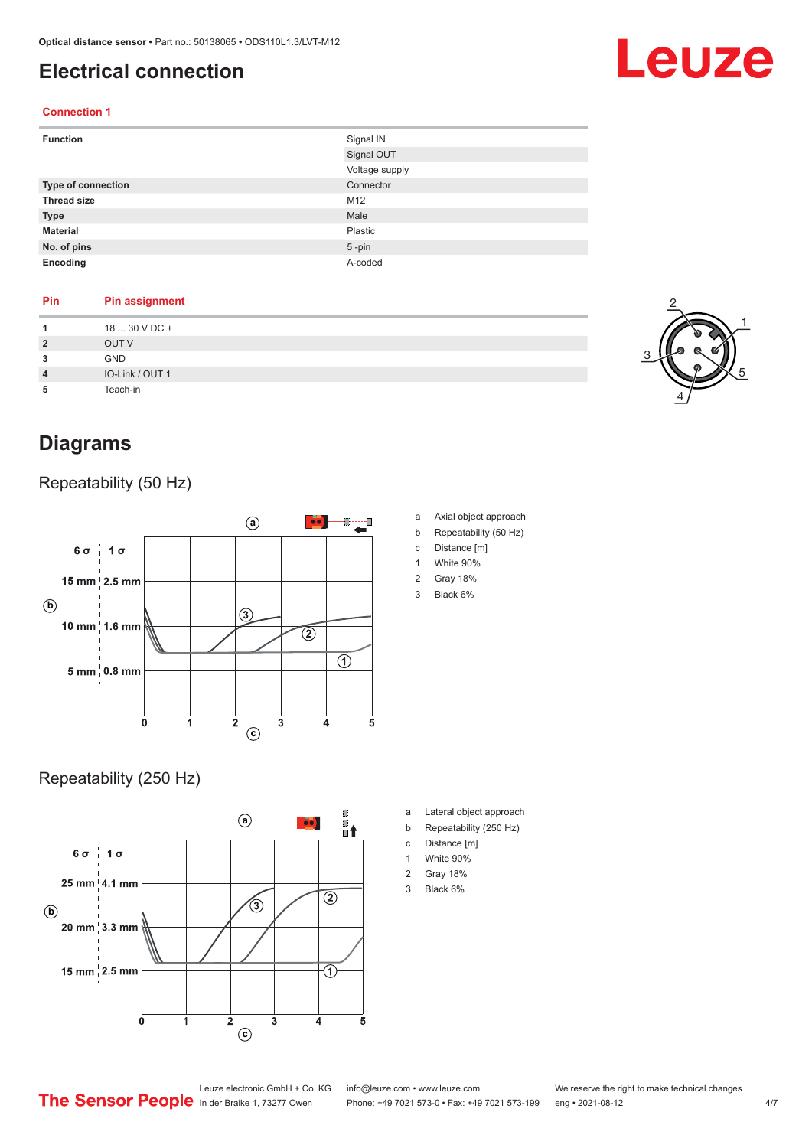## <span id="page-3-0"></span>**Electrical connection**

#### **Connection 1**

| <b>Function</b>    | Signal IN      |
|--------------------|----------------|
|                    | Signal OUT     |
|                    | Voltage supply |
| Type of connection | Connector      |
| <b>Thread size</b> | M12            |
| <b>Type</b>        | Male           |
| <b>Material</b>    | Plastic        |
| No. of pins        | $5$ -pin       |
| Encoding           | A-coded        |

#### **Pin Pin assignment**

| 1              | 18  30 V DC +   |
|----------------|-----------------|
| $\overline{2}$ | OUT V           |
| 3              | <b>GND</b>      |
| $\overline{4}$ | IO-Link / OUT 1 |
| 5              | Teach-in        |
|                |                 |

## **Diagrams**

Repeatability (50 Hz)



#### Repeatability (250 Hz)



- a Axial object approach
- b Repeatability (50 Hz)
- c Distance [m]
- 1 White 90%
- 2 Gray 18%
- 3 Black 6%

- a Lateral object approach
- b Repeatability (250 Hz)
- c Distance [m]
- 1 White 90%
- 2 Gray 18%
- 3 Black 6%



Leuze electronic GmbH + Co. KG info@leuze.com • www.leuze.com We reserve the right to make technical changes<br>
The Sensor People in der Braike 1, 73277 Owen Phone: +49 7021 573-0 • Fax: +49 7021 573-199 eng • 2021-08-12

Phone: +49 7021 573-0 • Fax: +49 7021 573-199 eng • 2021-08-12

# Leuze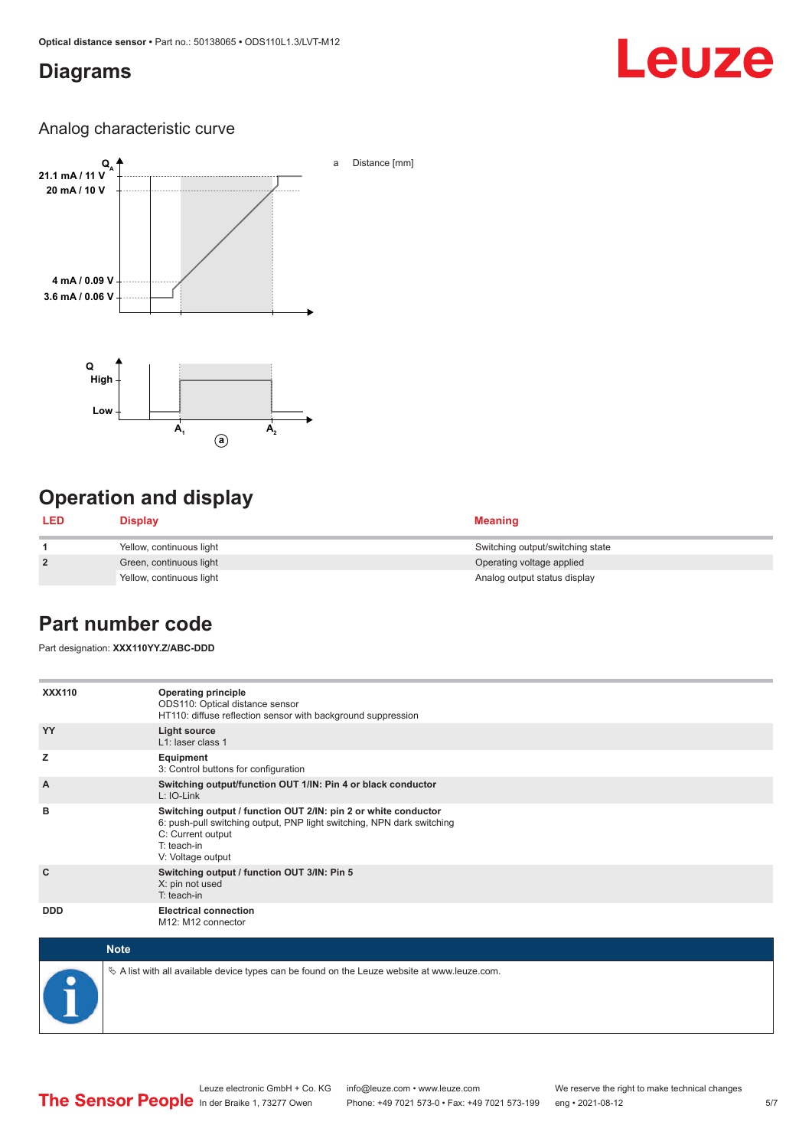### <span id="page-4-0"></span>**Diagrams**

# Leuze

#### Analog characteristic curve



# **Operation and display**

| <b>LED</b>     | <b>Display</b>           | <b>Meaning</b>                   |
|----------------|--------------------------|----------------------------------|
|                | Yellow, continuous light | Switching output/switching state |
| $\overline{2}$ | Green, continuous light  | Operating voltage applied        |
|                | Yellow, continuous light | Analog output status display     |

### **Part number code**

Part designation: **XXX110YY.Z/ABC-DDD**

| <b>XXX110</b>  | <b>Operating principle</b><br>ODS110: Optical distance sensor<br>HT110: diffuse reflection sensor with background suppression                                                                     |
|----------------|---------------------------------------------------------------------------------------------------------------------------------------------------------------------------------------------------|
| YY             | Light source<br>L1: laser class 1                                                                                                                                                                 |
| z              | Equipment<br>3: Control buttons for configuration                                                                                                                                                 |
| $\overline{A}$ | Switching output/function OUT 1/IN: Pin 4 or black conductor<br>$L: IO-Link$                                                                                                                      |
| B              | Switching output / function OUT 2/IN: pin 2 or white conductor<br>6: push-pull switching output, PNP light switching, NPN dark switching<br>C: Current output<br>T: teach-in<br>V: Voltage output |
| C              | Switching output / function OUT 3/IN: Pin 5<br>X: pin not used<br>T: teach-in                                                                                                                     |
| <b>DDD</b>     | <b>Electrical connection</b><br>M12: M12 connector                                                                                                                                                |



 $\%$  A list with all available device types can be found on the Leuze website at www.leuze.com.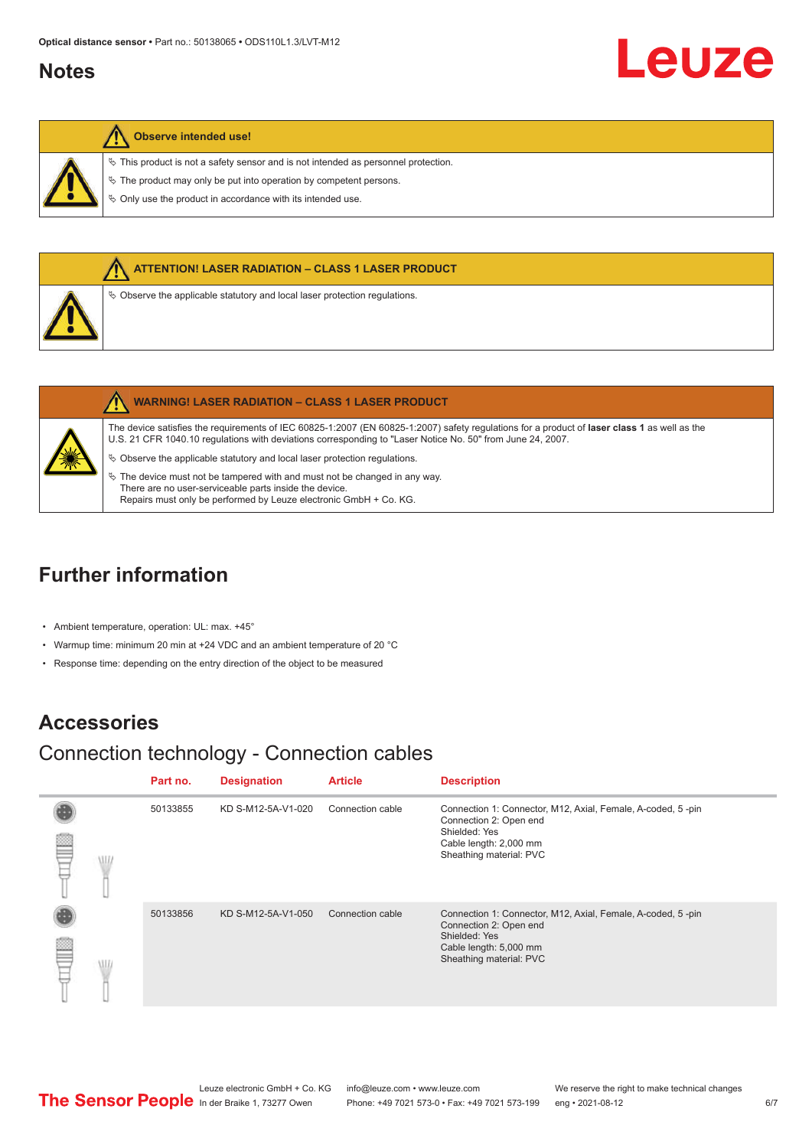#### <span id="page-5-0"></span>**Notes**

#### **Observe intended use!**

 $\%$  This product is not a safety sensor and is not intended as personnel protection.

 $\%$  The product may only be put into operation by competent persons.

 $\%$  Only use the product in accordance with its intended use.



|   | <b>WARNING! LASER RADIATION - CLASS 1 LASER PRODUCT</b>                                                                                                                                                                                                    |
|---|------------------------------------------------------------------------------------------------------------------------------------------------------------------------------------------------------------------------------------------------------------|
| 美 | The device satisfies the requirements of IEC 60825-1:2007 (EN 60825-1:2007) safety requiations for a product of laser class 1 as well as the<br>U.S. 21 CFR 1040.10 regulations with deviations corresponding to "Laser Notice No. 50" from June 24, 2007. |
|   | $\&$ Observe the applicable statutory and local laser protection regulations.                                                                                                                                                                              |
|   | $\%$ The device must not be tampered with and must not be changed in any way.                                                                                                                                                                              |
|   | There are no user-serviceable parts inside the device.                                                                                                                                                                                                     |
|   | Repairs must only be performed by Leuze electronic GmbH + Co. KG.                                                                                                                                                                                          |

# **Further information**

- Ambient temperature, operation: UL: max. +45°
- Warmup time: minimum 20 min at +24 VDC and an ambient temperature of 20 °C
- Response time: depending on the entry direction of the object to be measured

#### **Accessories**

# Connection technology - Connection cables

|   |    | Part no. | <b>Designation</b> | <b>Article</b>   | <b>Description</b>                                                                                                                                          |
|---|----|----------|--------------------|------------------|-------------------------------------------------------------------------------------------------------------------------------------------------------------|
| P | WL | 50133855 | KD S-M12-5A-V1-020 | Connection cable | Connection 1: Connector, M12, Axial, Female, A-coded, 5-pin<br>Connection 2: Open end<br>Shielded: Yes<br>Cable length: 2,000 mm<br>Sheathing material: PVC |
| ≌ | WI | 50133856 | KD S-M12-5A-V1-050 | Connection cable | Connection 1: Connector, M12, Axial, Female, A-coded, 5-pin<br>Connection 2: Open end<br>Shielded: Yes<br>Cable length: 5,000 mm<br>Sheathing material: PVC |

Leuze